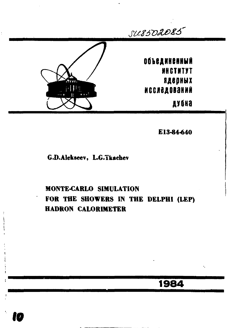

E13-84-640

G.D.Alekseev, L.G.Tkachev

# **MONTE-CARLO SIMULATION** FOR THE SHOWERS IN THE DELPHI (LEP) **HADRON CALORIMETER**

1984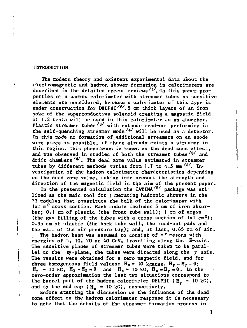#### **INTRODUCTION**

**The modern theory and existent experimental data about the electromagnetic and hadron shower formation in calorimeters are**  described in the detailed recent reviews<sup>/17</sup>. In this paper pro**perties of a hadron calorimeter with streamer tubes as sensitive elements are considered, because a calorimeter of this type is under construction for DELPHI/s/ . 5 cm thick layers of an iron yoke of the superconductive solenoid creating a magnetic field of 1.2 tesla will be used in this calorimeter as an absorber.**  Plastic streamer tubes<sup>/8/</sup> with cathode read-out performing in the self-quenching streamer mode<sup>/4/</sup> will be used as a detector. **In this mode no formation of additional streamers on an anode wire piece is possible, if there already exists a streamer in this region. This phenomenon is known as the dead zone effect,**  and was observed in studies of both the streamer tubes<sup>/3/</sup> and **drift chambers/4/. The dead zome value estimated in streamer**  tubes by different methods varies from 1.7 to 4.5 mm<sup>/3/</sup>. In**vestigation of the hadron calorimeter characteristics depending on the dead zone value, taking into account the strength and direction of the magnetic field is the aim of the present paper.** 

**In the presented calculation the TATINA/ 5 / package was utilized as the main tool for f, nerating hadronic showers in the 23 modules that constitute the bulk of the calorimeter with lxl m <sup>2</sup> cross section. Each module includes 5 cm of iron absorber; 0.1 cm of plastic (the front tube wall); I cm of argon (the gas filling of the tubes with a cross section of 1x1 cm<sup>2</sup> ); 0.35 cm of plastic (the back tube wall, the read-out pads and the wall of the air pressure bag); and, at last, 0.65 cm of air.** 

**The hadron beam was assumed to consist of** *n<sup>+</sup>*  **mesons with energies of** *'>,* **10, 20 or 40 GeV, travelling along the Z-axis. The sensitive planes of streamer tubes were taken to be parallel to the iy-plane, the tubes were directed along the у-axis. The results were obtained for a zero magnetic field, and for three homogeneous field values:**  $H_x = 10$  **kgauss,**  $H_y = H_z = 0$ **;**  $H_y = 10$  kG,  $H_x = H_z = 0$  and  $H_z = 10$  kG,  $H_x = H_y = 0$ . In the **zero-order approximation the last two situations correspond to**  the barrel part of the hadron calorimeter DELPHI ( $H_{\sigma}$  = 10 kG), and to the end cap ( $H_z$  = 10 kG), respectively.

**Before starting the discussion on the influence of the dead zone effect on the hadron calorimeter response it is necessary to note that the details of the streamer formation process in** 

امۇنىدا ئ**ۆلىمىسى" ئىچىلىدى ئۆزەتلىرىنى** بىل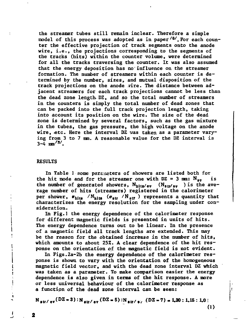**the streamer tubes still remain inclear. Therefore a simple model of this process was adopted as in paper***/6/ .* **For each counter the effective projection of track segments onto the anode wire, i.e., the projections corresponding to the segments of the tracks (hits) within the counter volume, were determined for all the tracks traversing the counter. It was also assumed that the energy deposition has no"influence on the streamer formation. The number of streamers within each counter is determined by the number, sizes, and mutual disposition of the track projections on the anode vire. The distance between adjacent streamers for each track projections cannot be less than the dead zone length- DZ, and so the total number of streamers in the counters is simply the total number of dead zones that can be packed into the full track projection length, taking into account its position on the wire. The size of the dead zone is determined by several factors, such as the gas mixture in the tubes, the gas pressure, the high voltage on the anode**  wire, etc. Here the interval DZ was taken as a parameter vary**ing from 3 to 7 mm. A reasonable value for the DZ interval is**   $3-\bar{4}$  mm<sup> $\frac{3}{\bar{6}}$ </sup>.

#### **RESULTS**

2

In Table 1 some parameters of showers are listed both for<br>hit mode and for the streamer one with DZ = 3 mm; N<sub>av</sub> is the hit mode and for the streamer one with  $DZ = 3$  mm:  $N_{av}$ the number of generated showers,  $N_{\text{hita}/\text{ev}}$  ( $N_{\text{att/ev}}$ ) is the ave**rage number of hits (streamers) registered in the calorimeter**  per shower,  $\sigma_{\text{hits}}$  /N<sub>hits</sub> ( $\sigma_{\text{str}}$  /N<sub>str</sub>) represents a quantity that **characterizes the energy resolution for the sampling under consideration.** 

**In Fig.1 the energy dependence of the calorimeter response for different magnetic fields is presented in units of hits. The energy dependence turns out to be linear. In the presence of a magnetic field all track lengths are extended. This may be the reason for the obtained increase in the number of hits, which amounts to about 25%. A clear dependence of the hit response on the orientation of the magnetic field is not evident.** 

**In Figs.2a-2b the energy dependence of the calorimeter response is shown to vary with the orientation of the homogeneous magnetic field vector, and with the dead zone interval DZ which was taken as a parameter. To make comparison easier the energy dependence is also given in terms of the hit response. A more or less universal behaviour of the calorimeter response as a function of the dead zone interval can be seen:** 

**N str/ev<sup>(DZ=3):N str/ev<sup>(DZ=5):N str/e**, (DZ=7) = 1.30: 1.16: 1.0 |</sup></sup>

**(1)**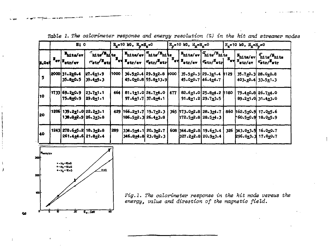|                | B: 0 |                                                  |                                                        | $R_{\rm g}$ =10 kG, $R_{\rm g}$ = $R_{\rm g}$ =0 |                                                                            |                                                          | $H_y = 10$ kG, $H_x = H_z = 0$ |                                                          |                                                              | $H_e = 10$ kG, $H_e = H_e = 0$ |                          |                                                                                                                                                                                                                                                                                                                                                                                                                                           |
|----------------|------|--------------------------------------------------|--------------------------------------------------------|--------------------------------------------------|----------------------------------------------------------------------------|----------------------------------------------------------|--------------------------------|----------------------------------------------------------|--------------------------------------------------------------|--------------------------------|--------------------------|-------------------------------------------------------------------------------------------------------------------------------------------------------------------------------------------------------------------------------------------------------------------------------------------------------------------------------------------------------------------------------------------------------------------------------------------|
| <b>ls, cet</b> |      | hits/ev<br>, <sup>N</sup> ev X <sub>atz/ev</sub> | $T_{\rm Mts}/T_{\rm Mts}$<br>$r_{\rm str}/r_{\rm str}$ |                                                  | $\frac{1}{2}$ hits/ev $\frac{1}{2}$ hits <sup>/H</sup> hits                |                                                          |                                | $x_{\text{https/ev}}$ $x_{\text{https://sub1.015cm/s}x}$ |                                                              |                                |                          | Mhits/ev hits <sup>/N</sup> hits<br>$\mathbf{H}_{\text{ext}}$ $\mathbf{H}_{\text{str}}$ $\mathbf{H}_{\text{str}}$ $\mathbf{H}_{\text{str}}$ $\mathbf{H}_{\text{str}}$ $\mathbf{H}_{\text{str}}$ $\mathbf{H}_{\text{str}}$ $\mathbf{H}_{\text{str}}$ $\mathbf{H}_{\text{str}}$ $\mathbf{H}_{\text{str}}$ $\mathbf{H}_{\text{str}}$ $\mathbf{H}_{\text{str}}$ $\mathbf{H}_{\text{str}}$ $\mathbf{H}_{\text{str}}$ $\mathbf{H}_{\text{str}}$ |
| 5              |      | 2000 31 . 210 . 4<br>35-810-5                    | 27.6±1.9<br>$139 - 4 - 5 - 3$                          | 1000                                             |                                                                            | $36.5 + 0.4$ 29.9+2.8 0000<br>45.0±0.8 55.8±13.9         |                                |                                                          | $35.5 \pm 0.3$ 29.3 $\pm 1.4$ 129<br>$45.0 + 0.7146.4 + 4.7$ |                                |                          | $35.7 + 0.3$ 28.0 + 0.8<br>$403.40.4$ 33.5 $\pm$ 1.3                                                                                                                                                                                                                                                                                                                                                                                      |
| 110            |      | 1733 69.210.9<br>75.810.9                        | 23.7±1.1<br>$129.8 + 1.1$                              | 464                                              |                                                                            | $81.1 \pm 1.0$ 24.7 $\pm 4.0$<br>$97.6 + 1.7$ $37.8 + 1$ | 477                            |                                                          | $82.6 + 1.0$ 25.8 $+4.2$ 1180<br>$91.8 + 1.2$ 29.7 $\pm$ 3.5 |                                |                          | $79.4 + 0.8$ 26.7 $\pm 4.0$<br>$89.2 + 1.0$ 31.4 $\pm$ 3.0                                                                                                                                                                                                                                                                                                                                                                                |
| 20             |      | 1206 139.2±1.0 22.2±3.1<br>138.842.9 26.343.8    |                                                        |                                                  | $429$   166.2 $\pm$ 1.7   19.7 $\pm$ 2.3<br>$186.5 \pm 2.3$ 26.4 $\pm 3.8$ |                                                          |                                | 365 173.0 2.8 28.3 1.7<br>$172.5 + 2.8$ 28.5 $+ 1.3$     |                                                              |                                | $160.5 + 0.9118.0 + 5.9$ | 860 162.5+0.9 17.0+5.6                                                                                                                                                                                                                                                                                                                                                                                                                    |
| 140            |      | 1243 278.6+5.2 18.3+2.8<br>261.4+4.6 21.8+2.4    |                                                        | 289                                              | $ 334.5+4.1 20.3+2.7$<br>346.8+4.8 23.0+2.3                                |                                                          |                                | 608 344.8 $\pm$ 2.8 19.6 $\pm$ 3.4<br>327.2±2.8 20.9±3.4 |                                                              |                                |                          | 326 343.0+3.5 16.0+0.7<br>$296.0 + 3.3117.0 + 0.7$                                                                                                                                                                                                                                                                                                                                                                                        |





Fig.1. The calorimeter response in the hit mode versus the<br>energy, value and direction of the magnetic field.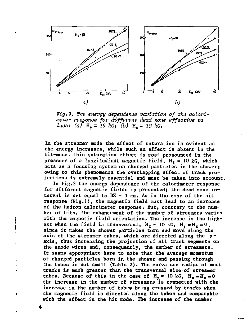

*Fig.2. The energy dependence variation of the calorimeter response for different dead zone effective values: (a)* Hy = *10 kG; (b)* H, = *10 kG.* 

**In the streamer mode the effect of saturation is evident as the energy increases, while such an effect is absent in the hit-mode. This saturation effect is most pronounced in the presence of a longitudinal magnetic field,** *Hz* **• 10 kG, which acts as a focusing system on charged particles in the shower; owing to this phenomenon the overlapping effect of track projections is extremely essential and must be taken into account.** 

**In Fig.3 the energy dependence of the calorimeter response for different magnetic fields is presented; the dead zone interval is set equal to DZ = 3 mm. As in the case of the hit response (Fig.l), the magnetic field must lead to an increase of the hadron calorimeter response. But, contrary to the number of hits, the enhancement of the number of streamers varies with the magnetic field orientation. The increase is the high**est when the field is transversal,  $H_x = 10$  kG,  $H_y = H_z = 0$ , **since it makes the shower particles turn and move along the axis of the streamer tubes, which are directed along the yaxis, thus increasing the projection of all track segments on the anode wires and, consequently, the number of streamers. It seems appropriate here to note that the average momentum of charged particles born in the shower and passing through the tubes is not small (Table 2). The curvature radius of most tracks is much greater than the transversal size of streamer tubes. Because of this in the case of Hy » 10 kG, Hx - H, - 0 the increase in the number of streamers is connected with the increase in the number of tubes being crossed by tracks when the magnetic field is directed along the tubes and comparable with the effect in the hit mode. The increase of the number** 

**4**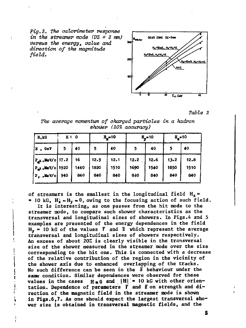*Fig.3. The calorimeter response in the streamer mode (DZ = 3 mm) versus the energy, value and direction of the magnitude field.* 



*Table 2* 

*The average momentum of charged particles in a hadron shower (20% accuracy)* 

| H.kG                         | H + 0 |      |      | H_=10 |      | E_=10 | $H_{-} = 10$ |      |
|------------------------------|-------|------|------|-------|------|-------|--------------|------|
| E, GeV                       | 5.    | 40   | 5    | 40    |      | 40    | 5            | 40   |
| $P_{\rm eff}$ , MeV/c $17.2$ |       | 16   | 12.9 | 12.1  | 12.2 | 12.6  | 13.2         | 12,8 |
| P <sub>a</sub> t, MeV/c 1920 |       | 1440 | 1820 | 1510  | 1690 | 1540  | 1850         | 1510 |
| P <sub>r</sub> ,MeV/c 940    |       | 840  | 840  | 840   | 840  | 840   | 840          | 840  |

**of streamers is the smallest in the longitudinal field Hz =**   $*$  10 kG,  $H_x = H_y = 0$ , owing to the focusing action of such field.

**It is interesting, as one passes from the hit mode to the streamer mode, to compare such shower characteristics as the transversal and longitudinal sizes of showers. In Figs.4 and S examples are presented of the energy dependences in the field = 10 kG of the values F and z which represent the average transversal and longitudinal sizes of showers respectively. An excess of about 20" is clearly visible in the transversal size of the shower measured in the streamer mode over the size corresponding to the hit one. This is connected with a decrease of the relative contribution of the region in the vicinity of the shower axis due to enhanced overlapping of the tracks. No such difference can be seen in the z behaviour under the same condition. Similar dependences were observed for these values in the cases**  $H \equiv 0$  **and**  $|H| = 10$  **kG with other orientation. Dependence of parameters Г and z on strength and direction of the magnetic field in the streamer mode is shown in Figs.6,7. As one should expect the largest transversal shower size is obtained in transversal magnetic fields, and the** 

**5**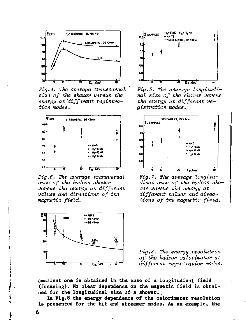

Fig.4. The average transversal size of the shower versus the energy at different registra $tion$  modes.



Fig.6. The average transversal size of the hadron shower versus the energy at different values and directions of the magnetic field.





Fig.5. The average longitudinal size of the shower versus the energy at different registration modes.



 $Fig. 7.$  The average longitudinal size of the hadron shower versus the energy at different values and directions of the magnetic field.

Fig.8. The energy resolution of the hadron calorimeter at different registration modes.

smallest one is obtained in the case of a longitudinal field (focusing). No clear dependence on the magnetic field is obtained for the longitudinal size of a shower.

In Fig.8 the energy dependence of the calorimeter resolution is presented for the hit and streamer modes. As an example, the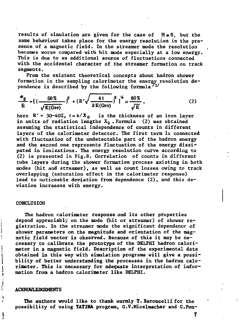**results of simulation are given for the case of HaO , but the same behaviour takes place for the energy resolution in the presence of a magnetic field. In the streamer mode the resolution becomes worse compared with hit mode especially at a low energy. This is due to an additional source of fluctuations connected with the accidental character of the streamer formation on track segments.** 

**From the existent theoretical concepts about hadron shower formation in the sampling calorimeter the energy resolution de**pendence is described by the following formula<sup>71/</sup>

$$
\frac{\sigma_{\rm E}}{\rm E} = \left[ \left( \frac{50\,\%}{\sqrt{\rm E(Gev)}} \right)^2 + \left( R \sqrt{\frac{4\,\rm t}{3\,\rm E(Gev)}} \right)^2 \right]^{\rm V} \approx \frac{80\,\%}{\sqrt{\rm E}} \,, \tag{2}
$$

here  $R' = 30-40\%$ ,  $t = x/X_0$  is the thickness of an iron layer in units of radiation lengths  $X_0$ . Formula (2) was obtained **assuming the statistical independence of counts in different**  layers of the calorimeter detector. The first term is connected **with fluctuation of the undetectable part of the hadron energy and the second one represents fluctuation of the energy dissipated in ionizations. The energy resolution curve according to (2) is presented in Fig.8. Correlation of counts in different tube layers during the shower formation process axisting in both modes (hit and streamer), as well as count losses owing tc track overlapping (saturation effect in the calorimeter response) lead to noticeable deviation from dependence (2), and this deviation increases with energy.** 

## **CONCLUSION**

I

 $\mathsf{l}$  $\ddot{\phantom{a}}$ j

> Ï  $\overline{\phantom{a}}$

> > ţ

**The hadron calorimeter response and its other properties depend appreciably on the mode (hit or streamer) of shower registration. In the streamer mode the significant dependence of shower parameters on the magnitude and orientation of the magnetic field vector is observed. Because of this it may be necessary to calibrate the prototype of the DELPHI hadron calorimeter in a magnetic field. Description of the experimental data obtained in this way with simulation programs will give a possibility of better understanding the processes in the hadron calorimeter. This is necessary for adequate interpretation of information from a hadron calorimeter like DELPHI.** 

## **ACKNOWLEDGEMENTS**

**The authors would like to thank warmly T. Baroncelli for the possibility of using TATINA program, G.V.Micelmacher and G.Pon-**

7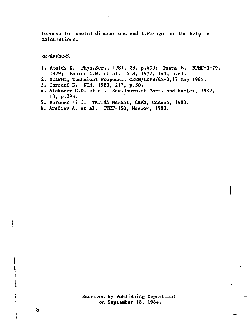**tecorvo for useful discussions and I.Farago for the help in calculations.** 

# **REFERENCES**

- **1. Amaldi U. Phys.Scr., 1981, 23, p.409; Iwata S. DPNU-3-79, 1979; Fabian C.W. et al. NIM, 1977, 141, p.61.**
- **2. DELPHI, Tachnical Proposal. CERN/LEPS/83-3,17 May 1983.**
- 3. Iarocci E. NIM, 1983, 217, p.30.
- **4. Alekseev G.D. et al. Sov.Journ.of Part, and Nuclei, 1982, 13, p.293.**
- **5. Baroncelli T. TATINA Manual, CERN, Geneva, 1983.**
- **6. Arefiev A. et al. ITEP-150, Moscow, 1983.**

**Received by Publishing Department on September 18, 1984.** 

**8** 

ţ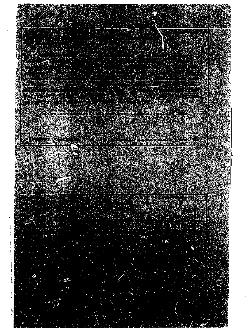